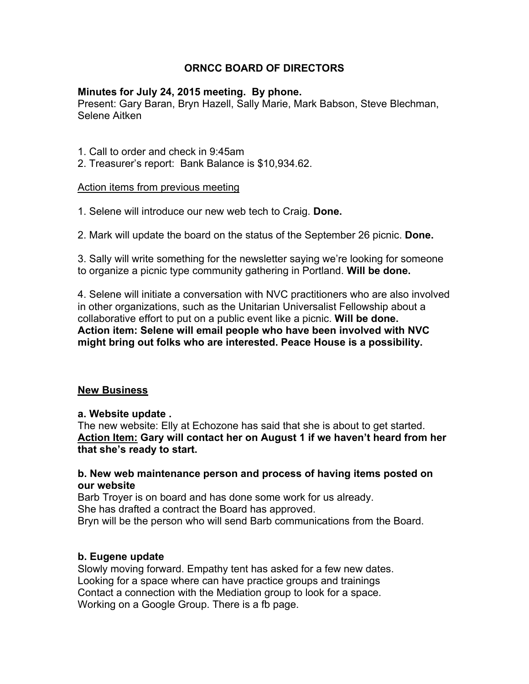# **ORNCC BOARD OF DIRECTORS**

### **Minutes for July 24, 2015 meeting. By phone.**

Present: Gary Baran, Bryn Hazell, Sally Marie, Mark Babson, Steve Blechman, Selene Aitken

- 1. Call to order and check in 9:45am
- 2. Treasurer's report: Bank Balance is \$10,934.62.

#### Action items from previous meeting

- 1. Selene will introduce our new web tech to Craig. **Done.**
- 2. Mark will update the board on the status of the September 26 picnic. **Done.**

3. Sally will write something for the newsletter saying we're looking for someone to organize a picnic type community gathering in Portland. **Will be done.** 

4. Selene will initiate a conversation with NVC practitioners who are also involved in other organizations, such as the Unitarian Universalist Fellowship about a collaborative effort to put on a public event like a picnic. **Will be done. Action item: Selene will email people who have been involved with NVC might bring out folks who are interested. Peace House is a possibility.** 

#### **New Business**

#### **a. Website update .**

The new website: Elly at Echozone has said that she is about to get started. **Action Item: Gary will contact her on August 1 if we haven't heard from her that she's ready to start.** 

### **b. New web maintenance person and process of having items posted on our website**

Barb Troyer is on board and has done some work for us already. She has drafted a contract the Board has approved. Bryn will be the person who will send Barb communications from the Board.

## **b. Eugene update**

Slowly moving forward. Empathy tent has asked for a few new dates. Looking for a space where can have practice groups and trainings Contact a connection with the Mediation group to look for a space. Working on a Google Group. There is a fb page.